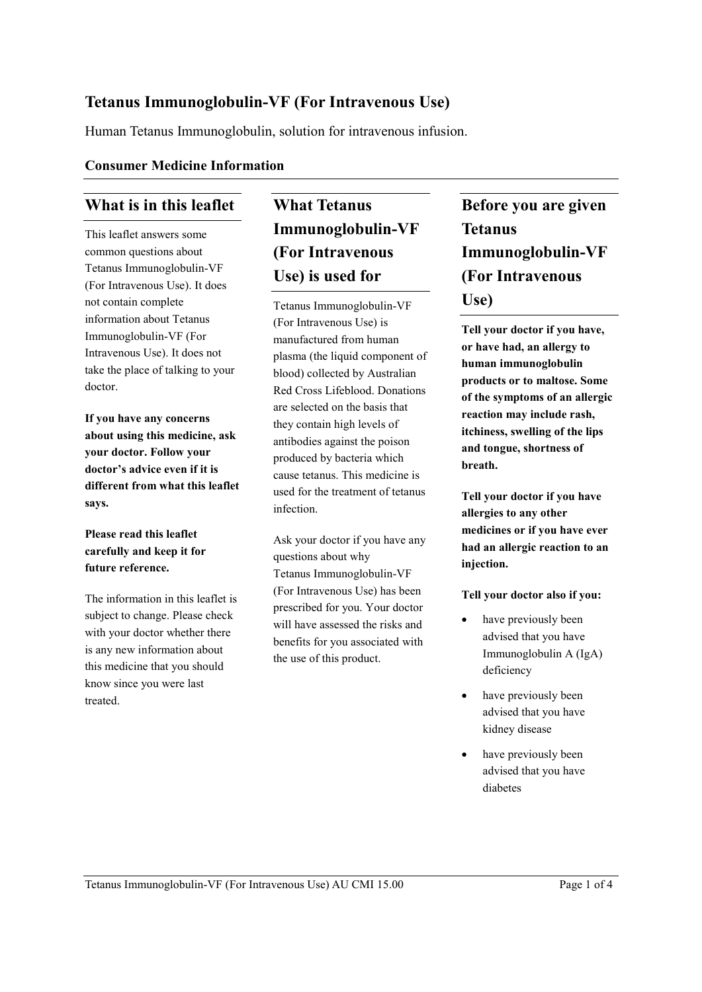### **Tetanus Immunoglobulin-VF (For Intravenous Use)**

Human Tetanus Immunoglobulin, solution for intravenous infusion.

#### **Consumer Medicine Information**

### **What is in this leaflet**

This leaflet answers some common questions about Tetanus Immunoglobulin-VF (For Intravenous Use). It does not contain complete information about Tetanus Immunoglobulin-VF (For Intravenous Use). It does not take the place of talking to your doctor.

**If you have any concerns about using this medicine, ask your doctor. Follow your doctor's advice even if it is different from what this leaflet says.**

#### **Please read this leaflet carefully and keep it for future reference.**

The information in this leaflet is subject to change. Please check with your doctor whether there is any new information about this medicine that you should know since you were last treated.

# **What Tetanus Immunoglobulin-VF (For Intravenous Use) is used for**

Tetanus Immunoglobulin-VF (For Intravenous Use) is manufactured from human plasma (the liquid component of blood) collected by Australian Red Cross Lifeblood. Donations are selected on the basis that they contain high levels of antibodies against the poison produced by bacteria which cause tetanus. This medicine is used for the treatment of tetanus infection.

Ask your doctor if you have any questions about why Tetanus Immunoglobulin-VF (For Intravenous Use) has been prescribed for you. Your doctor will have assessed the risks and benefits for you associated with the use of this product.

# **Before you are given Tetanus Immunoglobulin-VF (For Intravenous Use)**

**Tell your doctor if you have, or have had, an allergy to human immunoglobulin products or to maltose. Some of the symptoms of an allergic reaction may include rash, itchiness, swelling of the lips and tongue, shortness of breath.**

**Tell your doctor if you have allergies to any other medicines or if you have ever had an allergic reaction to an injection.**

#### **Tell your doctor also if you:**

- have previously been advised that you have Immunoglobulin A (IgA) deficiency
- have previously been advised that you have kidney disease
- have previously been advised that you have diabetes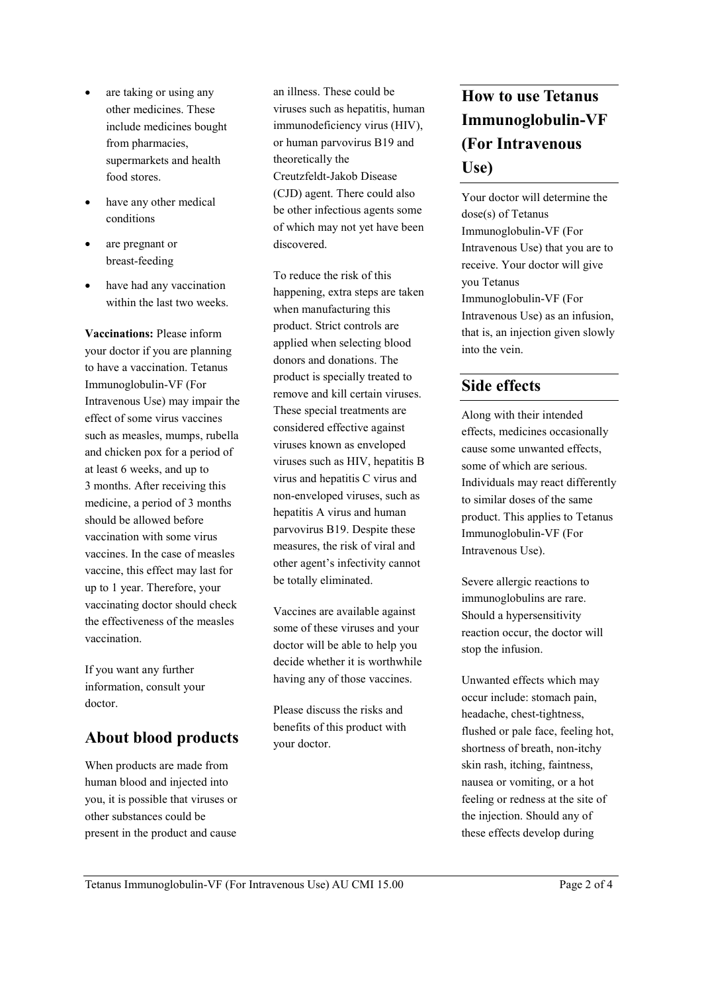- are taking or using any other medicines. These include medicines bought from pharmacies, supermarkets and health food stores.
- have any other medical conditions
- are pregnant or breast-feeding
- have had any vaccination within the last two weeks.

**Vaccinations:** Please inform your doctor if you are planning to have a vaccination. Tetanus Immunoglobulin-VF (For Intravenous Use) may impair the effect of some virus vaccines such as measles, mumps, rubella and chicken pox for a period of at least 6 weeks, and up to 3 months. After receiving this medicine, a period of 3 months should be allowed before vaccination with some virus vaccines. In the case of measles vaccine, this effect may last for up to 1 year. Therefore, your vaccinating doctor should check the effectiveness of the measles vaccination.

If you want any further information, consult your doctor.

### **About blood products**

When products are made from human blood and injected into you, it is possible that viruses or other substances could be present in the product and cause

an illness. These could be viruses such as hepatitis, human immunodeficiency virus (HIV), or human parvovirus B19 and theoretically the Creutzfeldt-Jakob Disease (CJD) agent. There could also be other infectious agents some of which may not yet have been discovered.

To reduce the risk of this happening, extra steps are taken when manufacturing this product. Strict controls are applied when selecting blood donors and donations. The product is specially treated to remove and kill certain viruses. These special treatments are considered effective against viruses known as enveloped viruses such as HIV, hepatitis B virus and hepatitis C virus and non-enveloped viruses, such as hepatitis A virus and human parvovirus B19. Despite these measures, the risk of viral and other agent's infectivity cannot be totally eliminated.

Vaccines are available against some of these viruses and your doctor will be able to help you decide whether it is worthwhile having any of those vaccines.

Please discuss the risks and benefits of this product with your doctor.

# **How to use Tetanus Immunoglobulin-VF (For Intravenous Use)**

Your doctor will determine the dose(s) of Tetanus Immunoglobulin-VF (For Intravenous Use) that you are to receive. Your doctor will give you Tetanus Immunoglobulin-VF (For Intravenous Use) as an infusion, that is, an injection given slowly into the vein.

### **Side effects**

Along with their intended effects, medicines occasionally cause some unwanted effects, some of which are serious. Individuals may react differently to similar doses of the same product. This applies to Tetanus Immunoglobulin-VF (For Intravenous Use).

Severe allergic reactions to immunoglobulins are rare. Should a hypersensitivity reaction occur, the doctor will stop the infusion.

Unwanted effects which may occur include: stomach pain, headache, chest-tightness, flushed or pale face, feeling hot, shortness of breath, non-itchy skin rash, itching, faintness, nausea or vomiting, or a hot feeling or redness at the site of the injection. Should any of these effects develop during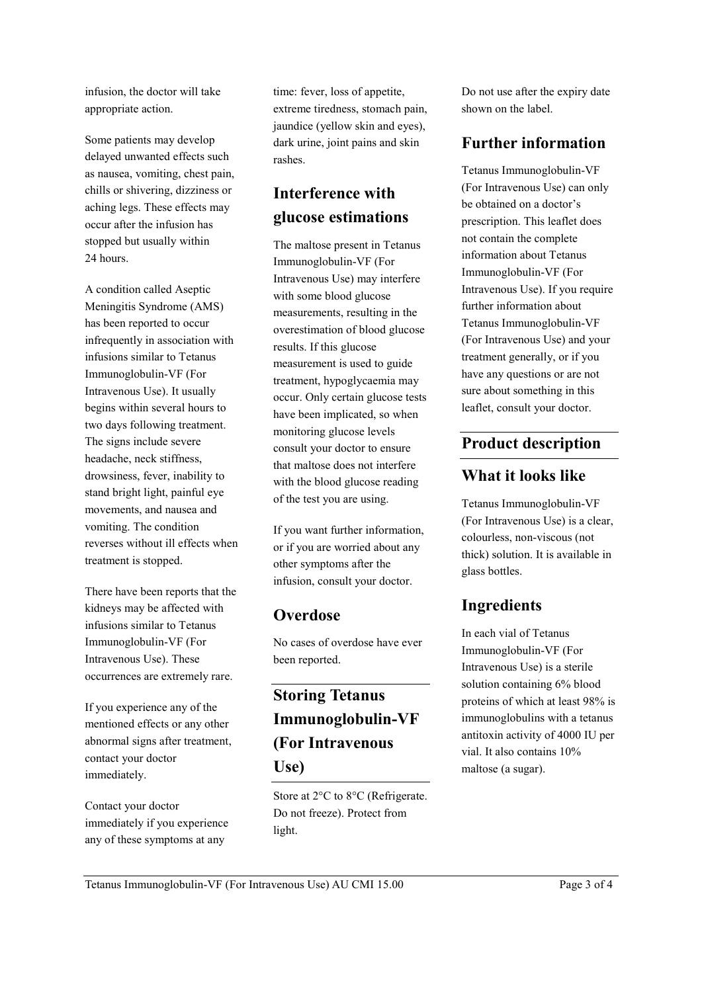infusion, the doctor will take appropriate action.

Some patients may develop delayed unwanted effects such as nausea, vomiting, chest pain, chills or shivering, dizziness or aching legs. These effects may occur after the infusion has stopped but usually within 24 hours.

A condition called Aseptic Meningitis Syndrome (AMS) has been reported to occur infrequently in association with infusions similar to Tetanus Immunoglobulin-VF (For Intravenous Use). It usually begins within several hours to two days following treatment. The signs include severe headache, neck stiffness, drowsiness, fever, inability to stand bright light, painful eye movements, and nausea and vomiting. The condition reverses without ill effects when treatment is stopped.

There have been reports that the kidneys may be affected with infusions similar to Tetanus Immunoglobulin-VF (For Intravenous Use). These occurrences are extremely rare.

If you experience any of the mentioned effects or any other abnormal signs after treatment, contact your doctor immediately.

Contact your doctor immediately if you experience any of these symptoms at any

time: fever, loss of appetite, extreme tiredness, stomach pain, jaundice (yellow skin and eyes), dark urine, joint pains and skin rashes.

## **Interference with glucose estimations**

The maltose present in Tetanus Immunoglobulin-VF (For Intravenous Use) may interfere with some blood glucose measurements, resulting in the overestimation of blood glucose results. If this glucose measurement is used to guide treatment, hypoglycaemia may occur. Only certain glucose tests have been implicated, so when monitoring glucose levels consult your doctor to ensure that maltose does not interfere with the blood glucose reading of the test you are using.

If you want further information, or if you are worried about any other symptoms after the infusion, consult your doctor.

### **Overdose**

No cases of overdose have ever been reported.

# **Storing Tetanus Immunoglobulin-VF (For Intravenous Use)**

Store at 2°C to 8°C (Refrigerate. Do not freeze). Protect from light.

Do not use after the expiry date shown on the label.

### **Further information**

Tetanus Immunoglobulin-VF (For Intravenous Use) can only be obtained on a doctor's prescription. This leaflet does not contain the complete information about Tetanus Immunoglobulin-VF (For Intravenous Use). If you require further information about Tetanus Immunoglobulin-VF (For Intravenous Use) and your treatment generally, or if you have any questions or are not sure about something in this leaflet, consult your doctor.

### **Product description**

### **What it looks like**

Tetanus Immunoglobulin-VF (For Intravenous Use) is a clear, colourless, non-viscous (not thick) solution. It is available in glass bottles.

## **Ingredients**

In each vial of Tetanus Immunoglobulin-VF (For Intravenous Use) is a sterile solution containing 6% blood proteins of which at least 98% is immunoglobulins with a tetanus antitoxin activity of 4000 IU per vial. It also contains 10% maltose (a sugar).